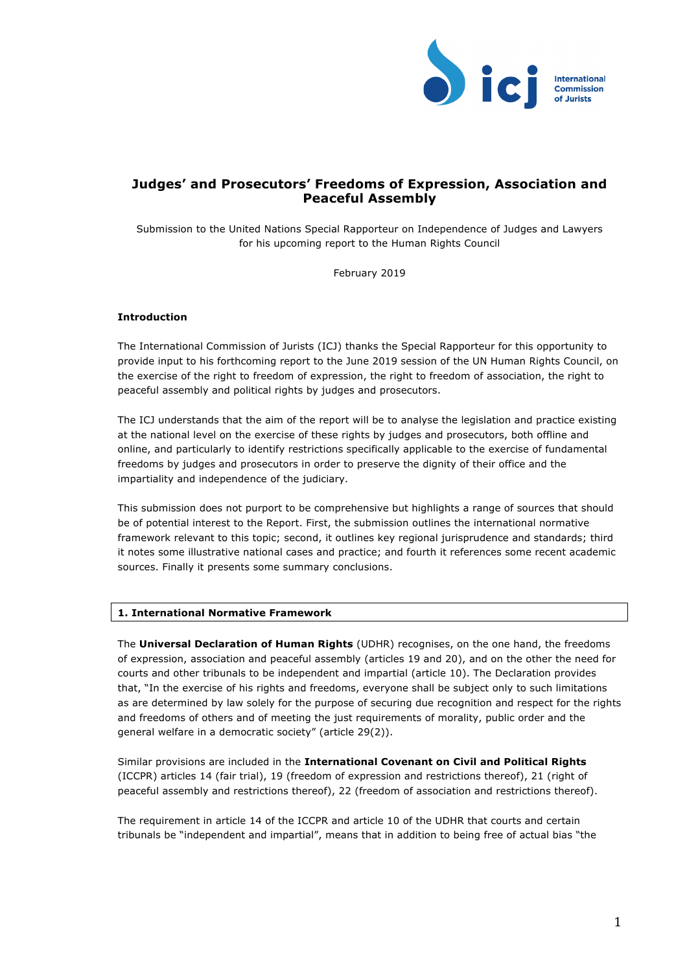

# **Judges' and Prosecutors' Freedoms of Expression, Association and Peaceful Assembly**

Submission to the United Nations Special Rapporteur on Independence of Judges and Lawyers for his upcoming report to the Human Rights Council

February 2019

# **Introduction**

The International Commission of Jurists (ICJ) thanks the Special Rapporteur for this opportunity to provide input to his forthcoming report to the June 2019 session of the UN Human Rights Council, on the exercise of the right to freedom of expression, the right to freedom of association, the right to peaceful assembly and political rights by judges and prosecutors.

The ICJ understands that the aim of the report will be to analyse the legislation and practice existing at the national level on the exercise of these rights by judges and prosecutors, both offline and online, and particularly to identify restrictions specifically applicable to the exercise of fundamental freedoms by judges and prosecutors in order to preserve the dignity of their office and the impartiality and independence of the judiciary.

This submission does not purport to be comprehensive but highlights a range of sources that should be of potential interest to the Report. First, the submission outlines the international normative framework relevant to this topic; second, it outlines key regional jurisprudence and standards; third it notes some illustrative national cases and practice; and fourth it references some recent academic sources. Finally it presents some summary conclusions.

## **1. International Normative Framework**

The **Universal Declaration of Human Rights** (UDHR) recognises, on the one hand, the freedoms of expression, association and peaceful assembly (articles 19 and 20), and on the other the need for courts and other tribunals to be independent and impartial (article 10). The Declaration provides that, "In the exercise of his rights and freedoms, everyone shall be subject only to such limitations as are determined by law solely for the purpose of securing due recognition and respect for the rights and freedoms of others and of meeting the just requirements of morality, public order and the general welfare in a democratic society" (article 29(2)).

Similar provisions are included in the **International Covenant on Civil and Political Rights** (ICCPR) articles 14 (fair trial), 19 (freedom of expression and restrictions thereof), 21 (right of peaceful assembly and restrictions thereof), 22 (freedom of association and restrictions thereof).

The requirement in article 14 of the ICCPR and article 10 of the UDHR that courts and certain tribunals be "independent and impartial", means that in addition to being free of actual bias "the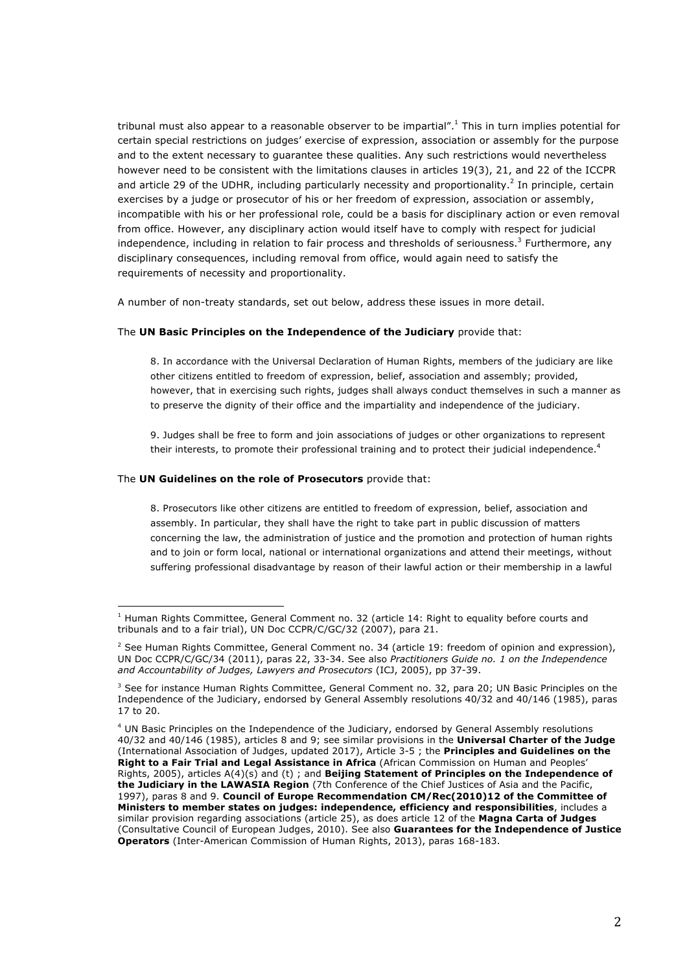tribunal must also appear to a reasonable observer to be impartial".<sup>1</sup> This in turn implies potential for certain special restrictions on judges' exercise of expression, association or assembly for the purpose and to the extent necessary to guarantee these qualities. Any such restrictions would nevertheless however need to be consistent with the limitations clauses in articles 19(3), 21, and 22 of the ICCPR and article 29 of the UDHR, including particularly necessity and proportionality.<sup>2</sup> In principle, certain exercises by a judge or prosecutor of his or her freedom of expression, association or assembly, incompatible with his or her professional role, could be a basis for disciplinary action or even removal from office. However, any disciplinary action would itself have to comply with respect for judicial independence, including in relation to fair process and thresholds of seriousness.<sup>3</sup> Furthermore, any disciplinary consequences, including removal from office, would again need to satisfy the requirements of necessity and proportionality.

A number of non-treaty standards, set out below, address these issues in more detail.

#### The **UN Basic Principles on the Independence of the Judiciary** provide that:

8. In accordance with the Universal Declaration of Human Rights, members of the judiciary are like other citizens entitled to freedom of expression, belief, association and assembly; provided, however, that in exercising such rights, judges shall always conduct themselves in such a manner as to preserve the dignity of their office and the impartiality and independence of the judiciary.

9. Judges shall be free to form and join associations of judges or other organizations to represent their interests, to promote their professional training and to protect their judicial independence.<sup>4</sup>

#### The **UN Guidelines on the role of Prosecutors** provide that:

 

8. Prosecutors like other citizens are entitled to freedom of expression, belief, association and assembly. In particular, they shall have the right to take part in public discussion of matters concerning the law, the administration of justice and the promotion and protection of human rights and to join or form local, national or international organizations and attend their meetings, without suffering professional disadvantage by reason of their lawful action or their membership in a lawful

 $1$  Human Rights Committee, General Comment no. 32 (article 14: Right to equality before courts and tribunals and to a fair trial), UN Doc CCPR/C/GC/32 (2007), para 21.

<sup>&</sup>lt;sup>2</sup> See Human Rights Committee, General Comment no. 34 (article 19: freedom of opinion and expression), UN Doc CCPR/C/GC/34 (2011), paras 22, 33-34. See also *Practitioners Guide no. 1 on the Independence and Accountability of Judges, Lawyers and Prosecutors* (ICJ, 2005), pp 37-39.

<sup>&</sup>lt;sup>3</sup> See for instance Human Rights Committee, General Comment no. 32, para 20; UN Basic Principles on the Independence of the Judiciary, endorsed by General Assembly resolutions 40/32 and 40/146 (1985), paras 17 to 20.

<sup>&</sup>lt;sup>4</sup> UN Basic Principles on the Independence of the Judiciary, endorsed by General Assembly resolutions 40/32 and 40/146 (1985), articles 8 and 9; see similar provisions in the **Universal Charter of the Judge** (International Association of Judges, updated 2017), Article 3-5 ; the **Principles and Guidelines on the Right to a Fair Trial and Legal Assistance in Africa** (African Commission on Human and Peoples' Rights, 2005), articles A(4)(s) and (t) ; and **Beijing Statement of Principles on the Independence of the Judiciary in the LAWASIA Region** (7th Conference of the Chief Justices of Asia and the Pacific, 1997), paras 8 and 9. **Council of Europe Recommendation CM/Rec(2010)12 of the Committee of Ministers to member states on judges: independence, efficiency and responsibilities**, includes a similar provision regarding associations (article 25), as does article 12 of the **Magna Carta of Judges** (Consultative Council of European Judges, 2010). See also **Guarantees for the Independence of Justice Operators** (Inter-American Commission of Human Rights, 2013), paras 168-183.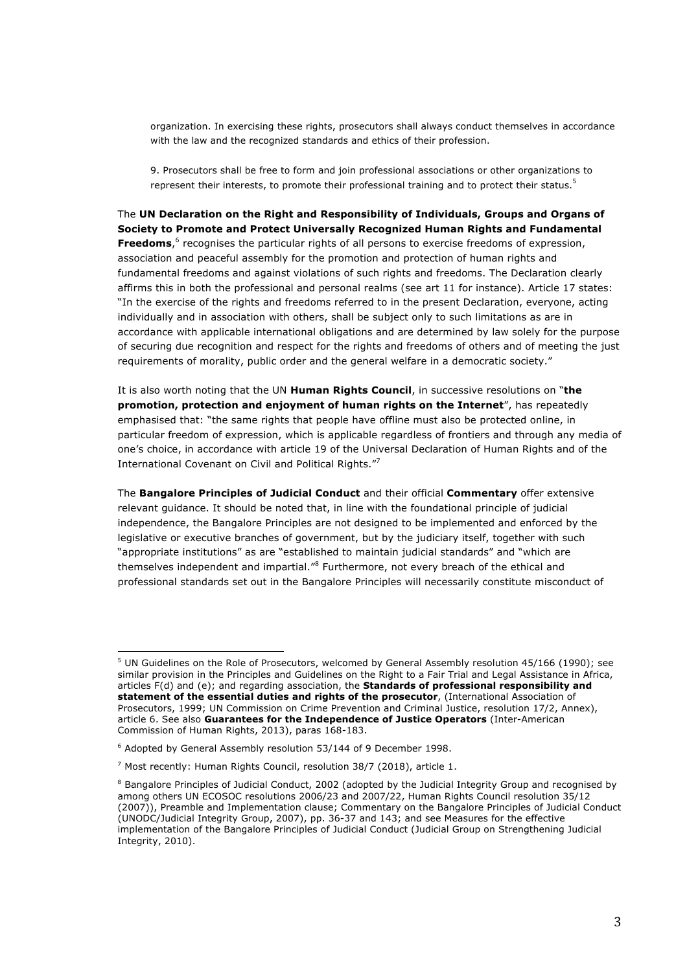organization. In exercising these rights, prosecutors shall always conduct themselves in accordance with the law and the recognized standards and ethics of their profession.

9. Prosecutors shall be free to form and join professional associations or other organizations to represent their interests, to promote their professional training and to protect their status.<sup>5</sup>

The **UN Declaration on the Right and Responsibility of Individuals, Groups and Organs of Society to Promote and Protect Universally Recognized Human Rights and Fundamental Freedoms**, <sup>6</sup> recognises the particular rights of all persons to exercise freedoms of expression, association and peaceful assembly for the promotion and protection of human rights and fundamental freedoms and against violations of such rights and freedoms. The Declaration clearly affirms this in both the professional and personal realms (see art 11 for instance). Article 17 states: "In the exercise of the rights and freedoms referred to in the present Declaration, everyone, acting individually and in association with others, shall be subject only to such limitations as are in accordance with applicable international obligations and are determined by law solely for the purpose of securing due recognition and respect for the rights and freedoms of others and of meeting the just requirements of morality, public order and the general welfare in a democratic society."

It is also worth noting that the UN **Human Rights Council**, in successive resolutions on "**the promotion, protection and enjoyment of human rights on the Internet**", has repeatedly emphasised that: "the same rights that people have offline must also be protected online, in particular freedom of expression, which is applicable regardless of frontiers and through any media of one's choice, in accordance with article 19 of the Universal Declaration of Human Rights and of the International Covenant on Civil and Political Rights."<sup>7</sup>

The **Bangalore Principles of Judicial Conduct** and their official **Commentary** offer extensive relevant guidance. It should be noted that, in line with the foundational principle of judicial independence, the Bangalore Principles are not designed to be implemented and enforced by the legislative or executive branches of government, but by the judiciary itself, together with such "appropriate institutions" as are "established to maintain judicial standards" and "which are themselves independent and impartial."<sup>8</sup> Furthermore, not every breach of the ethical and professional standards set out in the Bangalore Principles will necessarily constitute misconduct of

<sup>&</sup>lt;sup>5</sup> UN Guidelines on the Role of Prosecutors, welcomed by General Assembly resolution 45/166 (1990); see similar provision in the Principles and Guidelines on the Right to a Fair Trial and Legal Assistance in Africa, articles F(d) and (e); and regarding association, the **Standards of professional responsibility and statement of the essential duties and rights of the prosecutor**, (International Association of Prosecutors, 1999; UN Commission on Crime Prevention and Criminal Justice, resolution 17/2, Annex), article 6. See also **Guarantees for the Independence of Justice Operators** (Inter-American Commission of Human Rights, 2013), paras 168-183.

<sup>6</sup> Adopted by General Assembly resolution 53/144 of 9 December 1998.

 $<sup>7</sup>$  Most recently: Human Rights Council, resolution 38/7 (2018), article 1.</sup>

<sup>&</sup>lt;sup>8</sup> Bangalore Principles of Judicial Conduct, 2002 (adopted by the Judicial Integrity Group and recognised by among others UN ECOSOC resolutions 2006/23 and 2007/22, Human Rights Council resolution 35/12 (2007)), Preamble and Implementation clause; Commentary on the Bangalore Principles of Judicial Conduct (UNODC/Judicial Integrity Group, 2007), pp. 36-37 and 143; and see Measures for the effective implementation of the Bangalore Principles of Judicial Conduct (Judicial Group on Strengthening Judicial Integrity, 2010).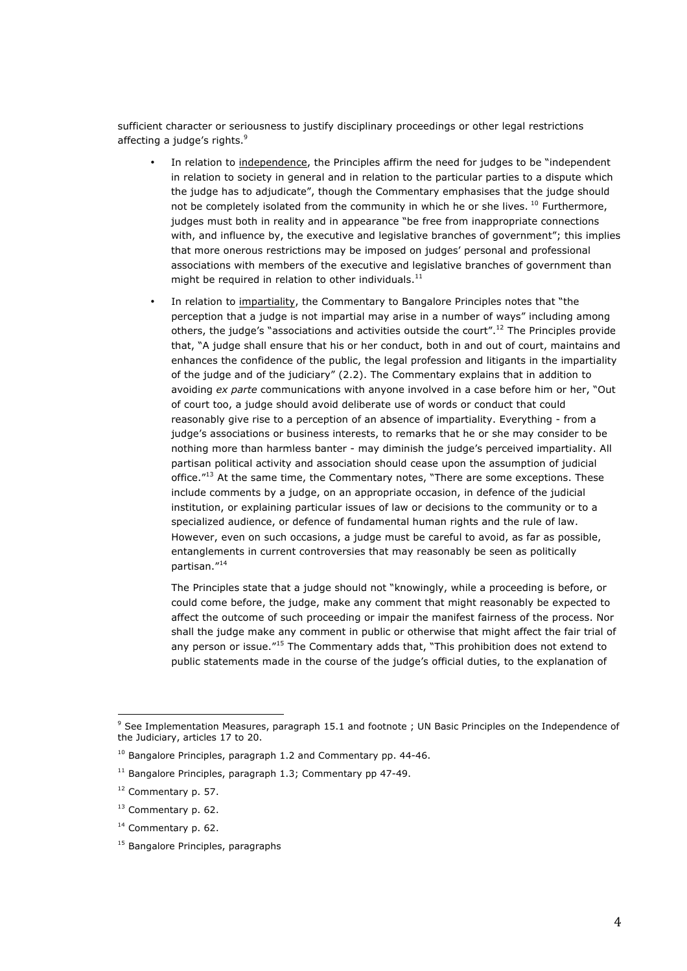sufficient character or seriousness to justify disciplinary proceedings or other legal restrictions affecting a judge's rights.<sup>9</sup>

- In relation to independence, the Principles affirm the need for judges to be "independent in relation to society in general and in relation to the particular parties to a dispute which the judge has to adjudicate", though the Commentary emphasises that the judge should not be completely isolated from the community in which he or she lives. <sup>10</sup> Furthermore, judges must both in reality and in appearance "be free from inappropriate connections with, and influence by, the executive and legislative branches of government"; this implies that more onerous restrictions may be imposed on judges' personal and professional associations with members of the executive and legislative branches of government than might be required in relation to other individuals. $^{11}$
- In relation to impartiality, the Commentary to Bangalore Principles notes that "the perception that a judge is not impartial may arise in a number of ways" including among others, the judge's "associations and activities outside the court".<sup>12</sup> The Principles provide that, "A judge shall ensure that his or her conduct, both in and out of court, maintains and enhances the confidence of the public, the legal profession and litigants in the impartiality of the judge and of the judiciary" (2.2). The Commentary explains that in addition to avoiding *ex parte* communications with anyone involved in a case before him or her, "Out of court too, a judge should avoid deliberate use of words or conduct that could reasonably give rise to a perception of an absence of impartiality. Everything - from a judge's associations or business interests, to remarks that he or she may consider to be nothing more than harmless banter - may diminish the judge's perceived impartiality. All partisan political activity and association should cease upon the assumption of judicial office."<sup>13</sup> At the same time, the Commentary notes, "There are some exceptions. These include comments by a judge, on an appropriate occasion, in defence of the judicial institution, or explaining particular issues of law or decisions to the community or to a specialized audience, or defence of fundamental human rights and the rule of law. However, even on such occasions, a judge must be careful to avoid, as far as possible, entanglements in current controversies that may reasonably be seen as politically partisan."<sup>14</sup>

The Principles state that a judge should not "knowingly, while a proceeding is before, or could come before, the judge, make any comment that might reasonably be expected to affect the outcome of such proceeding or impair the manifest fairness of the process. Nor shall the judge make any comment in public or otherwise that might affect the fair trial of any person or issue."<sup>15</sup> The Commentary adds that, "This prohibition does not extend to public statements made in the course of the judge's official duties, to the explanation of

<sup>14</sup> Commentary p. 62.

<sup>9</sup> See Implementation Measures, paragraph 15.1 and footnote ; UN Basic Principles on the Independence of the Judiciary, articles 17 to 20.

<sup>&</sup>lt;sup>10</sup> Bangalore Principles, paragraph 1.2 and Commentary pp. 44-46.

 $11$  Bangalore Principles, paragraph 1.3; Commentary pp 47-49.

<sup>12</sup> Commentary p. 57.

<sup>&</sup>lt;sup>13</sup> Commentary p. 62.

<sup>&</sup>lt;sup>15</sup> Bangalore Principles, paragraphs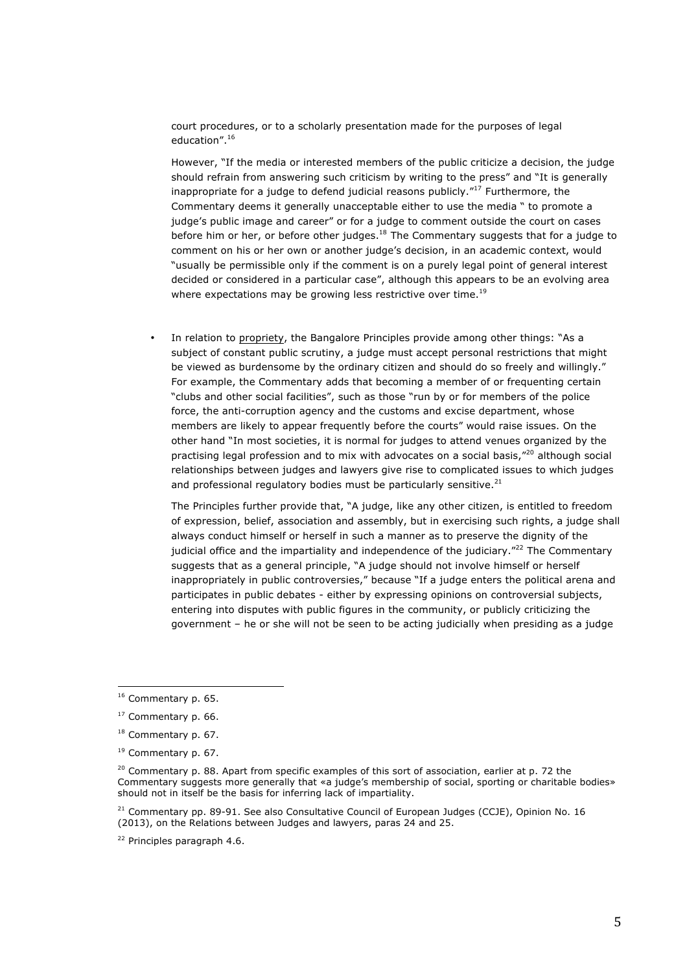court procedures, or to a scholarly presentation made for the purposes of legal education".16

However, "If the media or interested members of the public criticize a decision, the judge should refrain from answering such criticism by writing to the press" and "It is generally inappropriate for a judge to defend judicial reasons publicly."<sup>17</sup> Furthermore, the Commentary deems it generally unacceptable either to use the media " to promote a judge's public image and career" or for a judge to comment outside the court on cases before him or her, or before other judges. $^{18}$  The Commentary suggests that for a judge to comment on his or her own or another judge's decision, in an academic context, would "usually be permissible only if the comment is on a purely legal point of general interest decided or considered in a particular case", although this appears to be an evolving area where expectations may be growing less restrictive over time.<sup>19</sup>

• In relation to propriety, the Bangalore Principles provide among other things: "As a subject of constant public scrutiny, a judge must accept personal restrictions that might be viewed as burdensome by the ordinary citizen and should do so freely and willingly." For example, the Commentary adds that becoming a member of or frequenting certain "clubs and other social facilities", such as those "run by or for members of the police force, the anti-corruption agency and the customs and excise department, whose members are likely to appear frequently before the courts" would raise issues. On the other hand "In most societies, it is normal for judges to attend venues organized by the practising legal profession and to mix with advocates on a social basis,"<sup>20</sup> although social relationships between judges and lawyers give rise to complicated issues to which judges and professional regulatory bodies must be particularly sensitive. $21$ 

The Principles further provide that, "A judge, like any other citizen, is entitled to freedom of expression, belief, association and assembly, but in exercising such rights, a judge shall always conduct himself or herself in such a manner as to preserve the dignity of the judicial office and the impartiality and independence of the judiciary."<sup>22</sup> The Commentary suggests that as a general principle, "A judge should not involve himself or herself inappropriately in public controversies," because "If a judge enters the political arena and participates in public debates - either by expressing opinions on controversial subjects, entering into disputes with public figures in the community, or publicly criticizing the government – he or she will not be seen to be acting judicially when presiding as a judge

<sup>&</sup>lt;sup>16</sup> Commentary p. 65.

<sup>17</sup> Commentary p. 66.

<sup>&</sup>lt;sup>18</sup> Commentary p. 67.

<sup>19</sup> Commentary p. 67.

 $20$  Commentary p. 88. Apart from specific examples of this sort of association, earlier at p. 72 the Commentary suggests more generally that «a judge's membership of social, sporting or charitable bodies» should not in itself be the basis for inferring lack of impartiality.

<sup>&</sup>lt;sup>21</sup> Commentary pp. 89-91. See also Consultative Council of European Judges (CCJE), Opinion No. 16 (2013), on the Relations between Judges and lawyers, paras 24 and 25.

<sup>22</sup> Principles paragraph 4.6.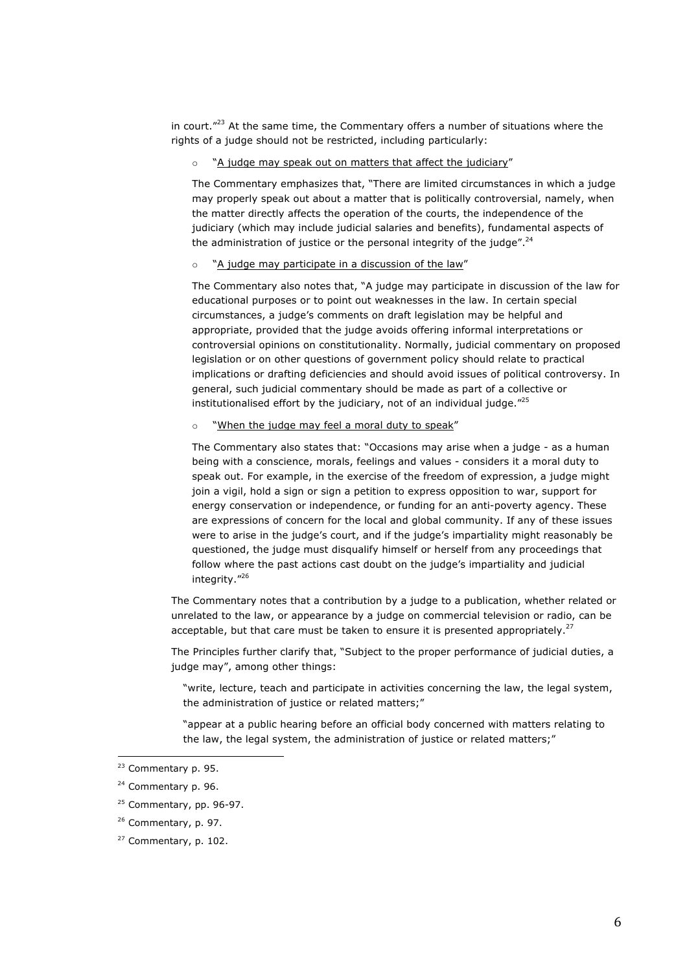in court. $"^{23}$  At the same time, the Commentary offers a number of situations where the rights of a judge should not be restricted, including particularly:

## o "A judge may speak out on matters that affect the judiciary"

The Commentary emphasizes that, "There are limited circumstances in which a judge may properly speak out about a matter that is politically controversial, namely, when the matter directly affects the operation of the courts, the independence of the judiciary (which may include judicial salaries and benefits), fundamental aspects of the administration of justice or the personal integrity of the judge".<sup>24</sup>

#### o "A judge may participate in a discussion of the law"

The Commentary also notes that, "A judge may participate in discussion of the law for educational purposes or to point out weaknesses in the law. In certain special circumstances, a judge's comments on draft legislation may be helpful and appropriate, provided that the judge avoids offering informal interpretations or controversial opinions on constitutionality. Normally, judicial commentary on proposed legislation or on other questions of government policy should relate to practical implications or drafting deficiencies and should avoid issues of political controversy. In general, such judicial commentary should be made as part of a collective or institutionalised effort by the judiciary, not of an individual judge. $"^{25}$ 

## o "When the judge may feel a moral duty to speak"

The Commentary also states that: "Occasions may arise when a judge - as a human being with a conscience, morals, feelings and values - considers it a moral duty to speak out. For example, in the exercise of the freedom of expression, a judge might join a vigil, hold a sign or sign a petition to express opposition to war, support for energy conservation or independence, or funding for an anti-poverty agency. These are expressions of concern for the local and global community. If any of these issues were to arise in the judge's court, and if the judge's impartiality might reasonably be questioned, the judge must disqualify himself or herself from any proceedings that follow where the past actions cast doubt on the judge's impartiality and judicial integrity."26

The Commentary notes that a contribution by a judge to a publication, whether related or unrelated to the law, or appearance by a judge on commercial television or radio, can be acceptable, but that care must be taken to ensure it is presented appropriately.<sup>27</sup>

The Principles further clarify that, "Subject to the proper performance of judicial duties, a judge may", among other things:

"write, lecture, teach and participate in activities concerning the law, the legal system, the administration of justice or related matters;"

"appear at a public hearing before an official body concerned with matters relating to the law, the legal system, the administration of justice or related matters;"

<sup>23</sup> Commentary p. 95.

<sup>&</sup>lt;sup>24</sup> Commentary p. 96.

<sup>&</sup>lt;sup>25</sup> Commentary, pp. 96-97.

<sup>26</sup> Commentary, p. 97.

<sup>27</sup> Commentary, p. 102.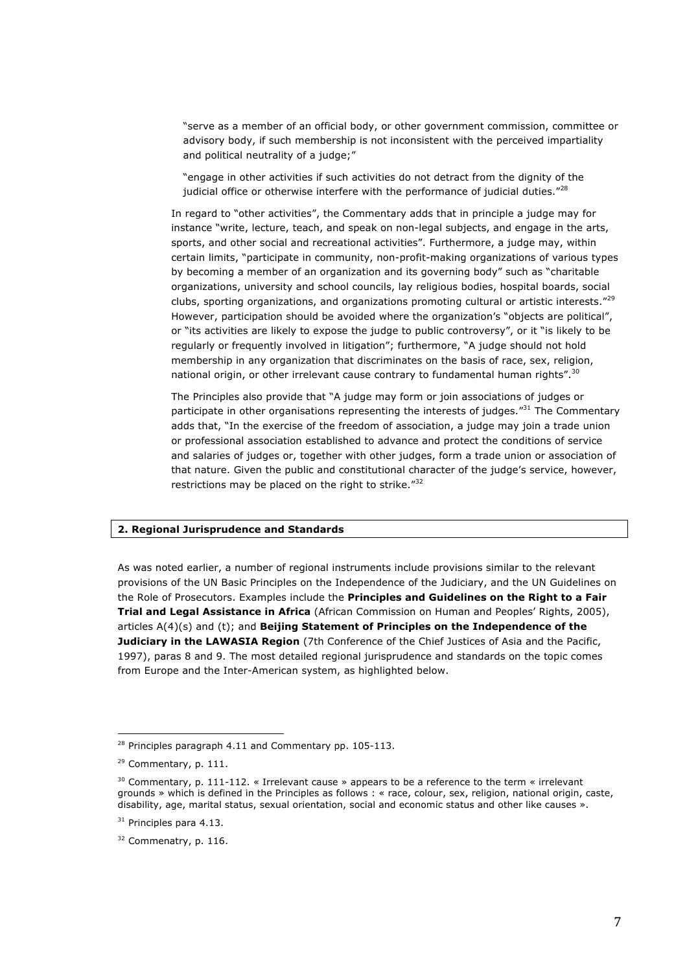"serve as a member of an official body, or other government commission, committee or advisory body, if such membership is not inconsistent with the perceived impartiality and political neutrality of a judge;"

"engage in other activities if such activities do not detract from the dignity of the judicial office or otherwise interfere with the performance of judicial duties. $"^{28}$ 

In regard to "other activities", the Commentary adds that in principle a judge may for instance "write, lecture, teach, and speak on non-legal subjects, and engage in the arts, sports, and other social and recreational activities". Furthermore, a judge may, within certain limits, "participate in community, non-profit-making organizations of various types by becoming a member of an organization and its governing body" such as "charitable organizations, university and school councils, lay religious bodies, hospital boards, social clubs, sporting organizations, and organizations promoting cultural or artistic interests."<sup>29</sup> However, participation should be avoided where the organization's "objects are political", or "its activities are likely to expose the judge to public controversy", or it "is likely to be regularly or frequently involved in litigation"; furthermore, "A judge should not hold membership in any organization that discriminates on the basis of race, sex, religion, national origin, or other irrelevant cause contrary to fundamental human rights".<sup>30</sup>

The Principles also provide that "A judge may form or join associations of judges or participate in other organisations representing the interests of judges."<sup>31</sup> The Commentary adds that, "In the exercise of the freedom of association, a judge may join a trade union or professional association established to advance and protect the conditions of service and salaries of judges or, together with other judges, form a trade union or association of that nature. Given the public and constitutional character of the judge's service, however, restrictions may be placed on the right to strike."<sup>32</sup>

## **2. Regional Jurisprudence and Standards**

As was noted earlier, a number of regional instruments include provisions similar to the relevant provisions of the UN Basic Principles on the Independence of the Judiciary, and the UN Guidelines on the Role of Prosecutors. Examples include the **Principles and Guidelines on the Right to a Fair Trial and Legal Assistance in Africa** (African Commission on Human and Peoples' Rights, 2005), articles A(4)(s) and (t); and **Beijing Statement of Principles on the Independence of the Judiciary in the LAWASIA Region** (7th Conference of the Chief Justices of Asia and the Pacific, 1997), paras 8 and 9. The most detailed regional jurisprudence and standards on the topic comes from Europe and the Inter-American system, as highlighted below.

<sup>&</sup>lt;sup>28</sup> Principles paragraph 4.11 and Commentary pp. 105-113.

<sup>&</sup>lt;sup>29</sup> Commentary, p. 111.

<sup>&</sup>lt;sup>30</sup> Commentary, p. 111-112. « Irrelevant cause » appears to be a reference to the term « irrelevant grounds » which is defined in the Principles as follows : « race, colour, sex, religion, national origin, caste, disability, age, marital status, sexual orientation, social and economic status and other like causes ».

 $31$  Principles para 4.13.

<sup>&</sup>lt;sup>32</sup> Commenatry, p. 116.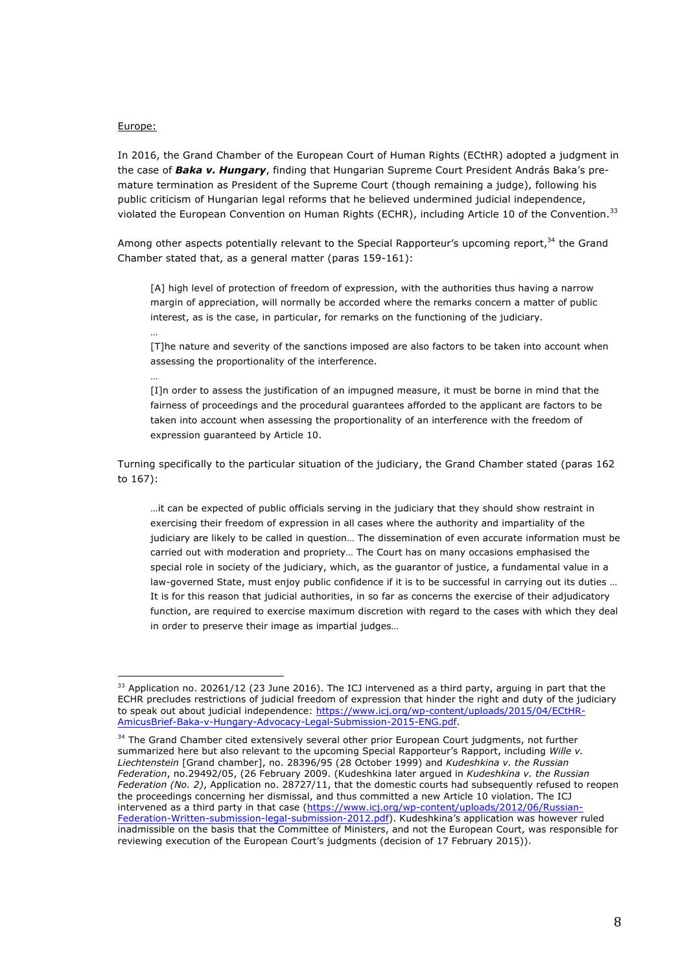#### Europe:

…

…

 

In 2016, the Grand Chamber of the European Court of Human Rights (ECtHR) adopted a judgment in the case of *Baka v. Hungary*, finding that Hungarian Supreme Court President András Baka's premature termination as President of the Supreme Court (though remaining a judge), following his public criticism of Hungarian legal reforms that he believed undermined judicial independence, violated the European Convention on Human Rights (ECHR), including Article 10 of the Convention.<sup>33</sup>

Among other aspects potentially relevant to the Special Rapporteur's upcoming report,<sup>34</sup> the Grand Chamber stated that, as a general matter (paras 159-161):

[A] high level of protection of freedom of expression, with the authorities thus having a narrow margin of appreciation, will normally be accorded where the remarks concern a matter of public interest, as is the case, in particular, for remarks on the functioning of the judiciary.

[T]he nature and severity of the sanctions imposed are also factors to be taken into account when assessing the proportionality of the interference.

[I]n order to assess the justification of an impugned measure, it must be borne in mind that the fairness of proceedings and the procedural guarantees afforded to the applicant are factors to be taken into account when assessing the proportionality of an interference with the freedom of expression guaranteed by Article 10.

Turning specifically to the particular situation of the judiciary, the Grand Chamber stated (paras 162 to 167):

…it can be expected of public officials serving in the judiciary that they should show restraint in exercising their freedom of expression in all cases where the authority and impartiality of the judiciary are likely to be called in question… The dissemination of even accurate information must be carried out with moderation and propriety… The Court has on many occasions emphasised the special role in society of the judiciary, which, as the guarantor of justice, a fundamental value in a law-governed State, must enjoy public confidence if it is to be successful in carrying out its duties … It is for this reason that judicial authorities, in so far as concerns the exercise of their adjudicatory function, are required to exercise maximum discretion with regard to the cases with which they deal in order to preserve their image as impartial judges…

<sup>&</sup>lt;sup>33</sup> Application no. 20261/12 (23 June 2016). The ICJ intervened as a third party, arguing in part that the ECHR precludes restrictions of judicial freedom of expression that hinder the right and duty of the judiciary to speak out about judicial independence: https://www.icj.org/wp-content/uploads/2015/04/ECtHR-AmicusBrief-Baka-v-Hungary-Advocacy-Legal-Submission-2015-ENG.pdf.

<sup>&</sup>lt;sup>34</sup> The Grand Chamber cited extensively several other prior European Court judgments, not further summarized here but also relevant to the upcoming Special Rapporteur's Rapport, including *Wille v. Liechtenstein* [Grand chamber], no. 28396/95 (28 October 1999) and *Kudeshkina v. the Russian Federation*, no.29492/05, (26 February 2009. (Kudeshkina later argued in *Kudeshkina v. the Russian Federation (No. 2)*, Application no. 28727/11, that the domestic courts had subsequently refused to reopen the proceedings concerning her dismissal, and thus committed a new Article 10 violation. The ICJ intervened as a third party in that case (https://www.icj.org/wp-content/uploads/2012/06/Russian-Federation-Written-submission-legal-submission-2012.pdf). Kudeshkina's application was however ruled inadmissible on the basis that the Committee of Ministers, and not the European Court, was responsible for reviewing execution of the European Court's judgments (decision of 17 February 2015)).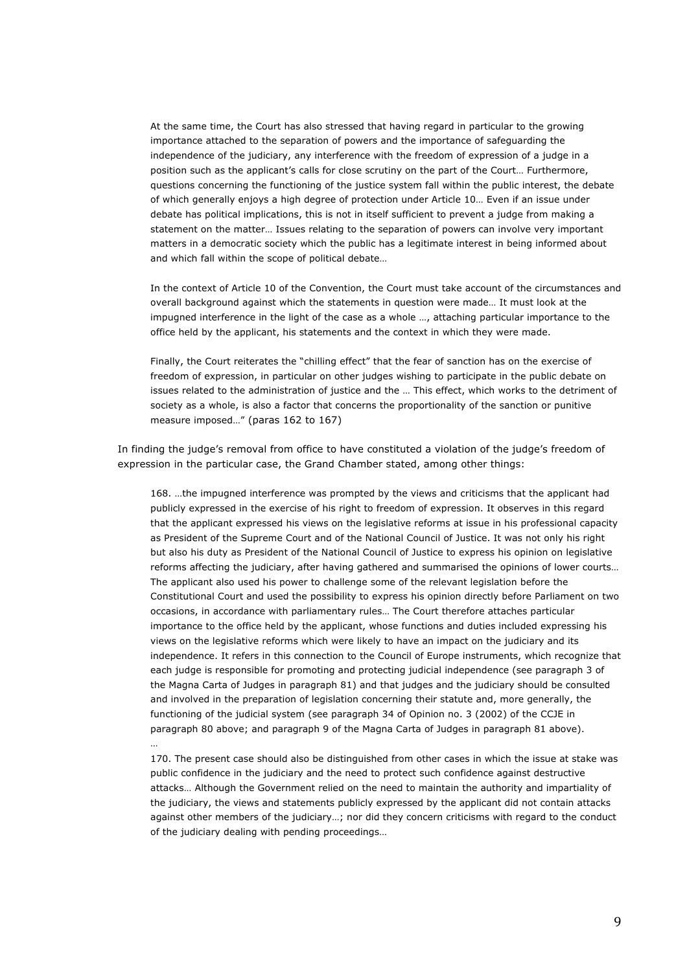At the same time, the Court has also stressed that having regard in particular to the growing importance attached to the separation of powers and the importance of safeguarding the independence of the judiciary, any interference with the freedom of expression of a judge in a position such as the applicant's calls for close scrutiny on the part of the Court… Furthermore, questions concerning the functioning of the justice system fall within the public interest, the debate of which generally enjoys a high degree of protection under Article 10… Even if an issue under debate has political implications, this is not in itself sufficient to prevent a judge from making a statement on the matter… Issues relating to the separation of powers can involve very important matters in a democratic society which the public has a legitimate interest in being informed about and which fall within the scope of political debate…

In the context of Article 10 of the Convention, the Court must take account of the circumstances and overall background against which the statements in question were made… It must look at the impugned interference in the light of the case as a whole …, attaching particular importance to the office held by the applicant, his statements and the context in which they were made.

Finally, the Court reiterates the "chilling effect" that the fear of sanction has on the exercise of freedom of expression, in particular on other judges wishing to participate in the public debate on issues related to the administration of justice and the … This effect, which works to the detriment of society as a whole, is also a factor that concerns the proportionality of the sanction or punitive measure imposed…" (paras 162 to 167)

In finding the judge's removal from office to have constituted a violation of the judge's freedom of expression in the particular case, the Grand Chamber stated, among other things:

168. …the impugned interference was prompted by the views and criticisms that the applicant had publicly expressed in the exercise of his right to freedom of expression. It observes in this regard that the applicant expressed his views on the legislative reforms at issue in his professional capacity as President of the Supreme Court and of the National Council of Justice. It was not only his right but also his duty as President of the National Council of Justice to express his opinion on legislative reforms affecting the judiciary, after having gathered and summarised the opinions of lower courts… The applicant also used his power to challenge some of the relevant legislation before the Constitutional Court and used the possibility to express his opinion directly before Parliament on two occasions, in accordance with parliamentary rules… The Court therefore attaches particular importance to the office held by the applicant, whose functions and duties included expressing his views on the legislative reforms which were likely to have an impact on the judiciary and its independence. It refers in this connection to the Council of Europe instruments, which recognize that each judge is responsible for promoting and protecting judicial independence (see paragraph 3 of the Magna Carta of Judges in paragraph 81) and that judges and the judiciary should be consulted and involved in the preparation of legislation concerning their statute and, more generally, the functioning of the judicial system (see paragraph 34 of Opinion no. 3 (2002) of the CCJE in paragraph 80 above; and paragraph 9 of the Magna Carta of Judges in paragraph 81 above).

170. The present case should also be distinguished from other cases in which the issue at stake was public confidence in the judiciary and the need to protect such confidence against destructive attacks… Although the Government relied on the need to maintain the authority and impartiality of the judiciary, the views and statements publicly expressed by the applicant did not contain attacks against other members of the judiciary…; nor did they concern criticisms with regard to the conduct of the judiciary dealing with pending proceedings…

…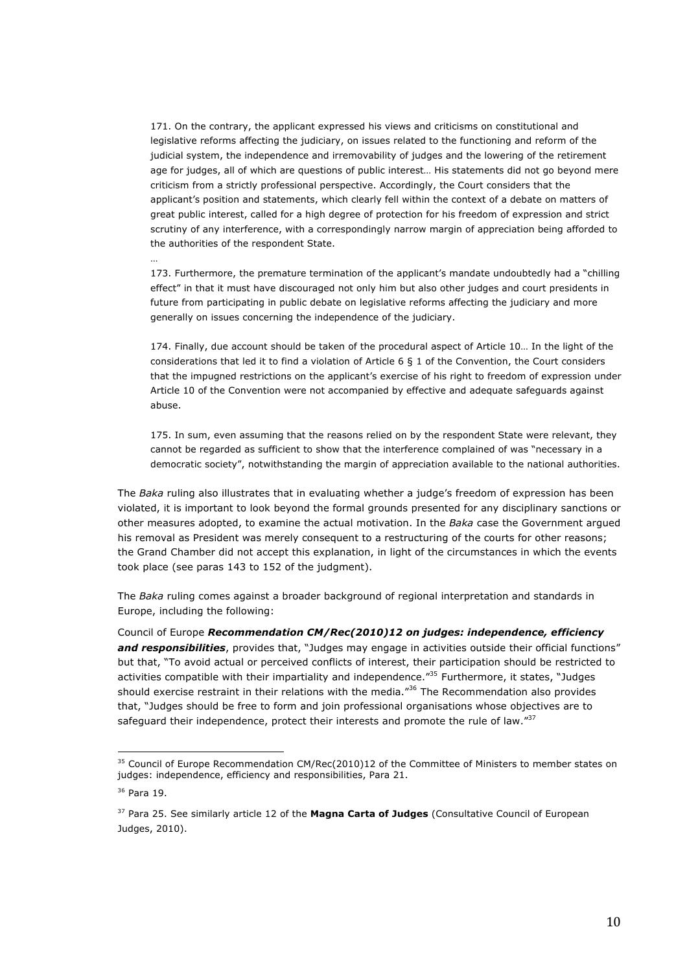171. On the contrary, the applicant expressed his views and criticisms on constitutional and legislative reforms affecting the judiciary, on issues related to the functioning and reform of the judicial system, the independence and irremovability of judges and the lowering of the retirement age for judges, all of which are questions of public interest… His statements did not go beyond mere criticism from a strictly professional perspective. Accordingly, the Court considers that the applicant's position and statements, which clearly fell within the context of a debate on matters of great public interest, called for a high degree of protection for his freedom of expression and strict scrutiny of any interference, with a correspondingly narrow margin of appreciation being afforded to the authorities of the respondent State.

173. Furthermore, the premature termination of the applicant's mandate undoubtedly had a "chilling effect" in that it must have discouraged not only him but also other judges and court presidents in future from participating in public debate on legislative reforms affecting the judiciary and more generally on issues concerning the independence of the judiciary.

174. Finally, due account should be taken of the procedural aspect of Article 10… In the light of the considerations that led it to find a violation of Article 6 § 1 of the Convention, the Court considers that the impugned restrictions on the applicant's exercise of his right to freedom of expression under Article 10 of the Convention were not accompanied by effective and adequate safeguards against abuse.

175. In sum, even assuming that the reasons relied on by the respondent State were relevant, they cannot be regarded as sufficient to show that the interference complained of was "necessary in a democratic society", notwithstanding the margin of appreciation available to the national authorities.

The *Baka* ruling also illustrates that in evaluating whether a judge's freedom of expression has been violated, it is important to look beyond the formal grounds presented for any disciplinary sanctions or other measures adopted, to examine the actual motivation. In the *Baka* case the Government argued his removal as President was merely consequent to a restructuring of the courts for other reasons; the Grand Chamber did not accept this explanation, in light of the circumstances in which the events took place (see paras 143 to 152 of the judgment).

The *Baka* ruling comes against a broader background of regional interpretation and standards in Europe, including the following:

Council of Europe *Recommendation CM/Rec(2010)12 on judges: independence, efficiency*  and responsibilities, provides that, "Judges may engage in activities outside their official functions" but that, "To avoid actual or perceived conflicts of interest, their participation should be restricted to activities compatible with their impartiality and independence."<sup>35</sup> Furthermore, it states. "Judges should exercise restraint in their relations with the media."<sup>36</sup> The Recommendation also provides that, "Judges should be free to form and join professional organisations whose objectives are to safeguard their independence, protect their interests and promote the rule of law." $^{37}$ 

 

…

<sup>&</sup>lt;sup>35</sup> Council of Europe Recommendation CM/Rec(2010)12 of the Committee of Ministers to member states on judges: independence, efficiency and responsibilities, Para 21.

<sup>36</sup> Para 19.

<sup>37</sup> Para 25. See similarly article 12 of the **Magna Carta of Judges** (Consultative Council of European Judges, 2010).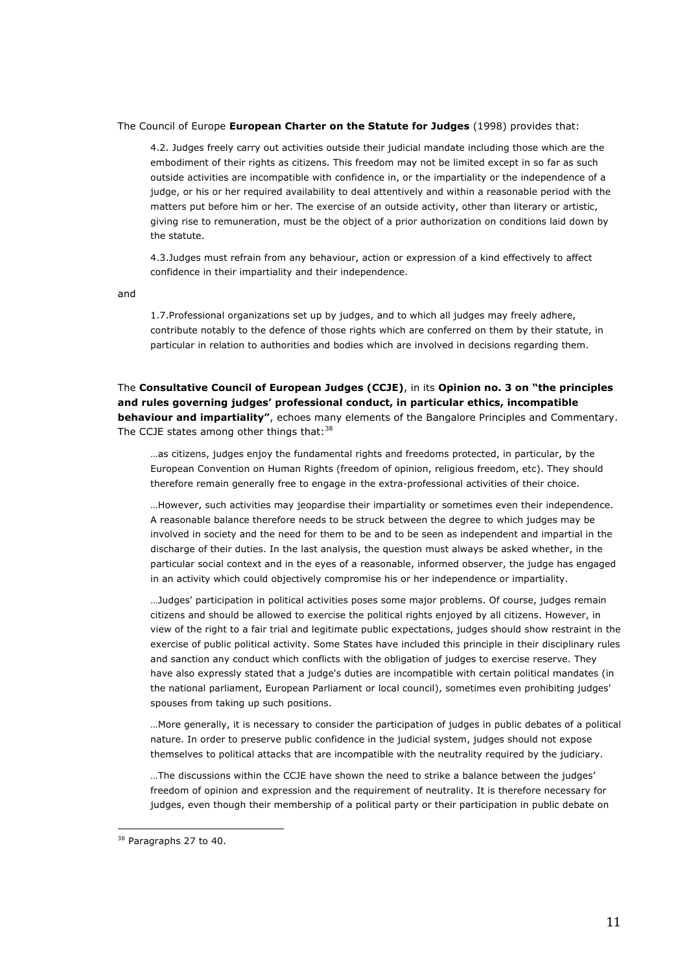### The Council of Europe **European Charter on the Statute for Judges** (1998) provides that:

4.2. Judges freely carry out activities outside their judicial mandate including those which are the embodiment of their rights as citizens. This freedom may not be limited except in so far as such outside activities are incompatible with confidence in, or the impartiality or the independence of a judge, or his or her required availability to deal attentively and within a reasonable period with the matters put before him or her. The exercise of an outside activity, other than literary or artistic, giving rise to remuneration, must be the object of a prior authorization on conditions laid down by the statute.

4.3.Judges must refrain from any behaviour, action or expression of a kind effectively to affect confidence in their impartiality and their independence.

and

1.7.Professional organizations set up by judges, and to which all judges may freely adhere, contribute notably to the defence of those rights which are conferred on them by their statute, in particular in relation to authorities and bodies which are involved in decisions regarding them.

The **Consultative Council of European Judges (CCJE)**, in its **Opinion no. 3 on "the principles and rules governing judges' professional conduct, in particular ethics, incompatible behaviour and impartiality"**, echoes many elements of the Bangalore Principles and Commentary. The CCJE states among other things that:<sup>38</sup>

…as citizens, judges enjoy the fundamental rights and freedoms protected, in particular, by the European Convention on Human Rights (freedom of opinion, religious freedom, etc). They should therefore remain generally free to engage in the extra-professional activities of their choice.

…However, such activities may jeopardise their impartiality or sometimes even their independence. A reasonable balance therefore needs to be struck between the degree to which judges may be involved in society and the need for them to be and to be seen as independent and impartial in the discharge of their duties. In the last analysis, the question must always be asked whether, in the particular social context and in the eyes of a reasonable, informed observer, the judge has engaged in an activity which could objectively compromise his or her independence or impartiality.

…Judges' participation in political activities poses some major problems. Of course, judges remain citizens and should be allowed to exercise the political rights enjoyed by all citizens. However, in view of the right to a fair trial and legitimate public expectations, judges should show restraint in the exercise of public political activity. Some States have included this principle in their disciplinary rules and sanction any conduct which conflicts with the obligation of judges to exercise reserve. They have also expressly stated that a judge's duties are incompatible with certain political mandates (in the national parliament, European Parliament or local council), sometimes even prohibiting judges' spouses from taking up such positions.

…More generally, it is necessary to consider the participation of judges in public debates of a political nature. In order to preserve public confidence in the judicial system, judges should not expose themselves to political attacks that are incompatible with the neutrality required by the judiciary.

…The discussions within the CCJE have shown the need to strike a balance between the judges' freedom of opinion and expression and the requirement of neutrality. It is therefore necessary for judges, even though their membership of a political party or their participation in public debate on

<sup>&</sup>lt;sup>38</sup> Paragraphs 27 to 40.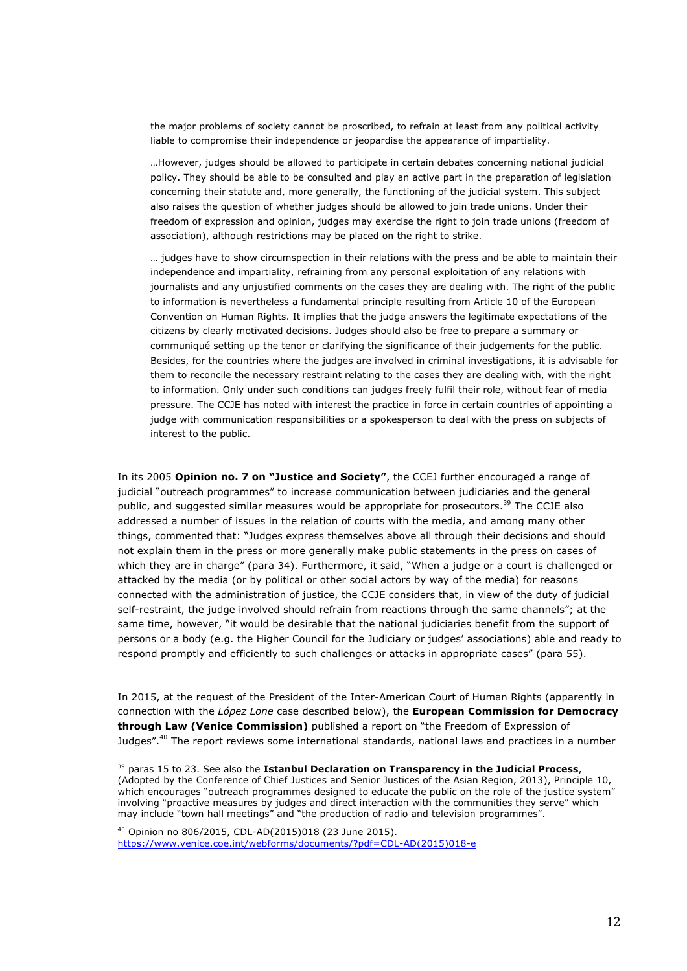the major problems of society cannot be proscribed, to refrain at least from any political activity liable to compromise their independence or jeopardise the appearance of impartiality.

…However, judges should be allowed to participate in certain debates concerning national judicial policy. They should be able to be consulted and play an active part in the preparation of legislation concerning their statute and, more generally, the functioning of the judicial system. This subject also raises the question of whether judges should be allowed to join trade unions. Under their freedom of expression and opinion, judges may exercise the right to join trade unions (freedom of association), although restrictions may be placed on the right to strike.

… judges have to show circumspection in their relations with the press and be able to maintain their independence and impartiality, refraining from any personal exploitation of any relations with journalists and any unjustified comments on the cases they are dealing with. The right of the public to information is nevertheless a fundamental principle resulting from Article 10 of the European Convention on Human Rights. It implies that the judge answers the legitimate expectations of the citizens by clearly motivated decisions. Judges should also be free to prepare a summary or communiqué setting up the tenor or clarifying the significance of their judgements for the public. Besides, for the countries where the judges are involved in criminal investigations, it is advisable for them to reconcile the necessary restraint relating to the cases they are dealing with, with the right to information. Only under such conditions can judges freely fulfil their role, without fear of media pressure. The CCJE has noted with interest the practice in force in certain countries of appointing a judge with communication responsibilities or a spokesperson to deal with the press on subjects of interest to the public.

In its 2005 **Opinion no. 7 on "Justice and Society"**, the CCEJ further encouraged a range of judicial "outreach programmes" to increase communication between judiciaries and the general public, and suggested similar measures would be appropriate for prosecutors.<sup>39</sup> The CCJE also addressed a number of issues in the relation of courts with the media, and among many other things, commented that: "Judges express themselves above all through their decisions and should not explain them in the press or more generally make public statements in the press on cases of which they are in charge" (para 34). Furthermore, it said, "When a judge or a court is challenged or attacked by the media (or by political or other social actors by way of the media) for reasons connected with the administration of justice, the CCJE considers that, in view of the duty of judicial self-restraint, the judge involved should refrain from reactions through the same channels"; at the same time, however, "it would be desirable that the national judiciaries benefit from the support of persons or a body (e.g. the Higher Council for the Judiciary or judges' associations) able and ready to respond promptly and efficiently to such challenges or attacks in appropriate cases" (para 55).

In 2015, at the request of the President of the Inter-American Court of Human Rights (apparently in connection with the *López Lone* case described below), the **European Commission for Democracy through Law (Venice Commission)** published a report on "the Freedom of Expression of Judges".40 The report reviews some international standards, national laws and practices in a number

<sup>40</sup> Opinion no 806/2015, CDL-AD(2015)018 (23 June 2015). https://www.venice.coe.int/webforms/documents/?pdf=CDL-AD(2015)018-e

<sup>39</sup> paras 15 to 23. See also the **Istanbul Declaration on Transparency in the Judicial Process**, (Adopted by the Conference of Chief Justices and Senior Justices of the Asian Region, 2013), Principle 10, which encourages "outreach programmes designed to educate the public on the role of the justice system" involving "proactive measures by judges and direct interaction with the communities they serve" which may include "town hall meetings" and "the production of radio and television programmes".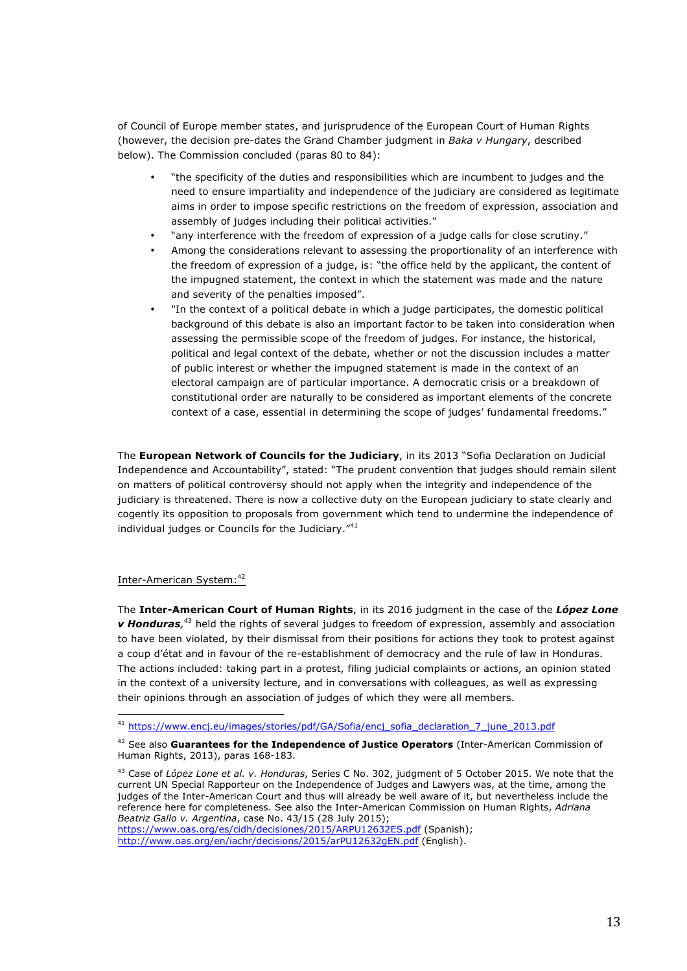of Council of Europe member states, and jurisprudence of the European Court of Human Rights (however, the decision pre-dates the Grand Chamber judgment in *Baka v Hungary*, described below). The Commission concluded (paras 80 to 84):

- "the specificity of the duties and responsibilities which are incumbent to judges and the need to ensure impartiality and independence of the judiciary are considered as legitimate aims in order to impose specific restrictions on the freedom of expression, association and assembly of judges including their political activities."
- "any interference with the freedom of expression of a judge calls for close scrutiny."
- Among the considerations relevant to assessing the proportionality of an interference with the freedom of expression of a judge, is: "the office held by the applicant, the content of the impugned statement, the context in which the statement was made and the nature and severity of the penalties imposed".
- "In the context of a political debate in which a judge participates, the domestic political background of this debate is also an important factor to be taken into consideration when assessing the permissible scope of the freedom of judges. For instance, the historical, political and legal context of the debate, whether or not the discussion includes a matter of public interest or whether the impugned statement is made in the context of an electoral campaign are of particular importance. A democratic crisis or a breakdown of constitutional order are naturally to be considered as important elements of the concrete context of a case, essential in determining the scope of judges' fundamental freedoms."

The **European Network of Councils for the Judiciary**, in its 2013 "Sofia Declaration on Judicial Independence and Accountability", stated: "The prudent convention that judges should remain silent on matters of political controversy should not apply when the integrity and independence of the judiciary is threatened. There is now a collective duty on the European judiciary to state clearly and cogently its opposition to proposals from government which tend to undermine the independence of individual judges or Councils for the Judiciary."<sup>41</sup>

# Inter-American System:<sup>42</sup>

The **Inter-American Court of Human Rights**, in its 2016 judgment in the case of the *López Lone v Honduras,* <sup>43</sup> held the rights of several judges to freedom of expression, assembly and association to have been violated, by their dismissal from their positions for actions they took to protest against a coup d'état and in favour of the re-establishment of democracy and the rule of law in Honduras. The actions included: taking part in a protest, filing judicial complaints or actions, an opinion stated in the context of a university lecture, and in conversations with colleagues, as well as expressing their opinions through an association of judges of which they were all members.

http://www.oas.org/en/iachr/decisions/2015/arPU12632gEN.pdf (English).

 <sup>41</sup> https://www.encj.eu/images/stories/pdf/GA/Sofia/encj\_sofia\_declaration\_7\_june\_2013.pdf

<sup>42</sup> See also **Guarantees for the Independence of Justice Operators** (Inter-American Commission of Human Rights, 2013), paras 168-183.

<sup>43</sup> Case of *López Lone et al. v. Honduras*, Series C No. 302, judgment of 5 October 2015. We note that the current UN Special Rapporteur on the Independence of Judges and Lawyers was, at the time, among the judges of the Inter-American Court and thus will already be well aware of it, but nevertheless include the reference here for completeness. See also the Inter-American Commission on Human Rights, *Adriana Beatriz Gallo v. Argentina*, case No. 43/15 (28 July 2015); https://www.oas.org/es/cidh/decisiones/2015/ARPU12632ES.pdf (Spanish);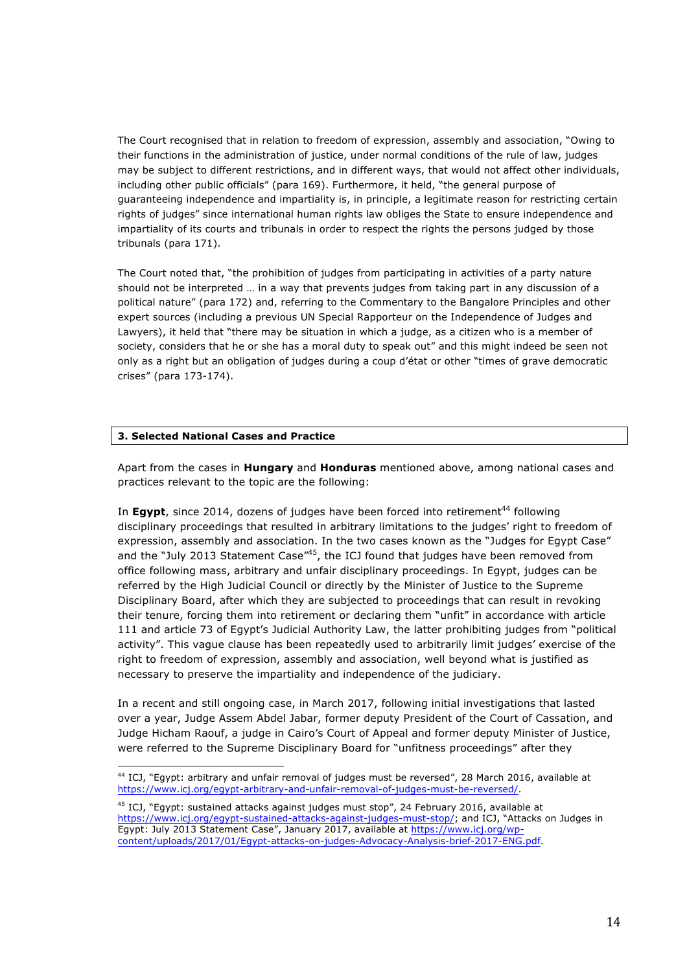The Court recognised that in relation to freedom of expression, assembly and association, "Owing to their functions in the administration of justice, under normal conditions of the rule of law, judges may be subject to different restrictions, and in different ways, that would not affect other individuals, including other public officials" (para 169). Furthermore, it held, "the general purpose of guaranteeing independence and impartiality is, in principle, a legitimate reason for restricting certain rights of judges" since international human rights law obliges the State to ensure independence and impartiality of its courts and tribunals in order to respect the rights the persons judged by those tribunals (para 171).

The Court noted that, "the prohibition of judges from participating in activities of a party nature should not be interpreted … in a way that prevents judges from taking part in any discussion of a political nature" (para 172) and, referring to the Commentary to the Bangalore Principles and other expert sources (including a previous UN Special Rapporteur on the Independence of Judges and Lawyers), it held that "there may be situation in which a judge, as a citizen who is a member of society, considers that he or she has a moral duty to speak out" and this might indeed be seen not only as a right but an obligation of judges during a coup d'état or other "times of grave democratic crises" (para 173-174).

# **3. Selected National Cases and Practice**

 

Apart from the cases in **Hungary** and **Honduras** mentioned above, among national cases and practices relevant to the topic are the following:

In **Eqypt**, since 2014, dozens of judges have been forced into retirement<sup>44</sup> following disciplinary proceedings that resulted in arbitrary limitations to the judges' right to freedom of expression, assembly and association. In the two cases known as the "Judges for Egypt Case" and the "July 2013 Statement Case"<sup>45</sup>, the ICJ found that judges have been removed from office following mass, arbitrary and unfair disciplinary proceedings. In Egypt, judges can be referred by the High Judicial Council or directly by the Minister of Justice to the Supreme Disciplinary Board, after which they are subjected to proceedings that can result in revoking their tenure, forcing them into retirement or declaring them "unfit" in accordance with article 111 and article 73 of Egypt's Judicial Authority Law, the latter prohibiting judges from "political activity". This vague clause has been repeatedly used to arbitrarily limit judges' exercise of the right to freedom of expression, assembly and association, well beyond what is justified as necessary to preserve the impartiality and independence of the judiciary.

In a recent and still ongoing case, in March 2017, following initial investigations that lasted over a year, Judge Assem Abdel Jabar, former deputy President of the Court of Cassation, and Judge Hicham Raouf, a judge in Cairo's Court of Appeal and former deputy Minister of Justice, were referred to the Supreme Disciplinary Board for "unfitness proceedings" after they

<sup>44</sup> ICJ, "Egypt: arbitrary and unfair removal of judges must be reversed", 28 March 2016, available at https://www.icj.org/egypt-arbitrary-and-unfair-removal-of-judges-must-be-reversed/.

<sup>&</sup>lt;sup>45</sup> ICJ, "Egypt: sustained attacks against judges must stop", 24 February 2016, available at https://www.icj.org/egypt-sustained-attacks-against-judges-must-stop/; and ICJ, "Attacks on Judges in Egypt: July 2013 Statement Case", January 2017, available at https://www.icj.org/wpcontent/uploads/2017/01/Egypt-attacks-on-judges-Advocacy-Analysis-brief-2017-ENG.pdf.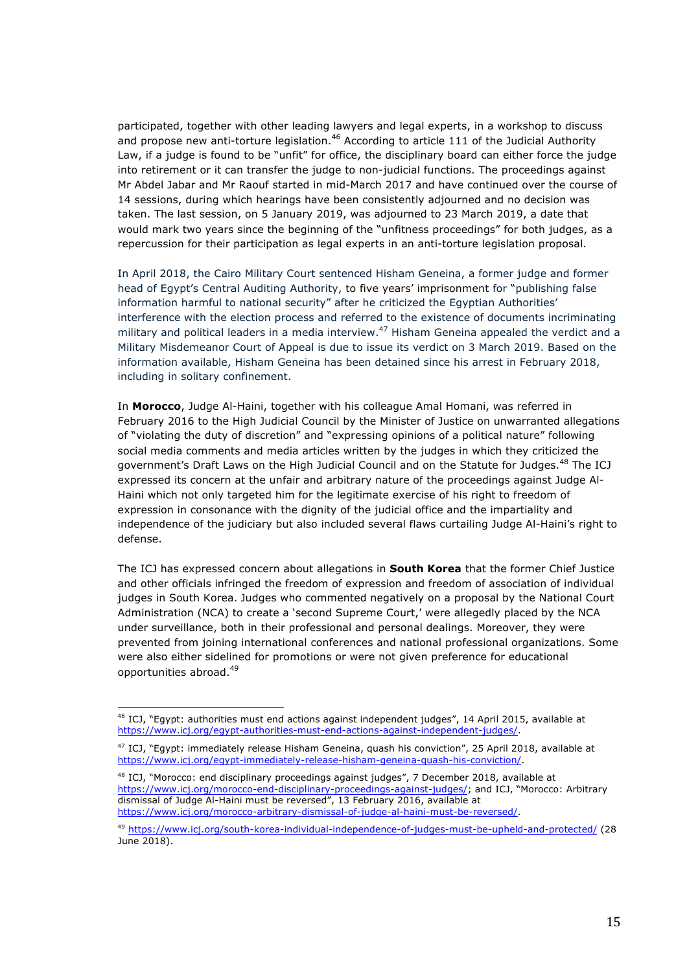participated, together with other leading lawyers and legal experts, in a workshop to discuss and propose new anti-torture legislation.<sup>46</sup> According to article 111 of the Judicial Authority Law, if a judge is found to be "unfit" for office, the disciplinary board can either force the judge into retirement or it can transfer the judge to non-judicial functions. The proceedings against Mr Abdel Jabar and Mr Raouf started in mid-March 2017 and have continued over the course of 14 sessions, during which hearings have been consistently adjourned and no decision was taken. The last session, on 5 January 2019, was adjourned to 23 March 2019, a date that would mark two years since the beginning of the "unfitness proceedings" for both judges, as a repercussion for their participation as legal experts in an anti-torture legislation proposal.

In April 2018, the Cairo Military Court sentenced Hisham Geneina, a former judge and former head of Egypt's Central Auditing Authority, to five years' imprisonment for "publishing false information harmful to national security" after he criticized the Egyptian Authorities' interference with the election process and referred to the existence of documents incriminating military and political leaders in a media interview.<sup>47</sup> Hisham Geneina appealed the verdict and a Military Misdemeanor Court of Appeal is due to issue its verdict on 3 March 2019. Based on the information available, Hisham Geneina has been detained since his arrest in February 2018, including in solitary confinement.

In **Morocco**, Judge Al-Haini, together with his colleague Amal Homani, was referred in February 2016 to the High Judicial Council by the Minister of Justice on unwarranted allegations of "violating the duty of discretion" and "expressing opinions of a political nature" following social media comments and media articles written by the judges in which they criticized the government's Draft Laws on the High Judicial Council and on the Statute for Judges.<sup>48</sup> The ICJ expressed its concern at the unfair and arbitrary nature of the proceedings against Judge Al-Haini which not only targeted him for the legitimate exercise of his right to freedom of expression in consonance with the dignity of the judicial office and the impartiality and independence of the judiciary but also included several flaws curtailing Judge Al-Haini's right to defense.

The ICJ has expressed concern about allegations in **South Korea** that the former Chief Justice and other officials infringed the freedom of expression and freedom of association of individual judges in South Korea. Judges who commented negatively on a proposal by the National Court Administration (NCA) to create a 'second Supreme Court,' were allegedly placed by the NCA under surveillance, both in their professional and personal dealings. Moreover, they were prevented from joining international conferences and national professional organizations. Some were also either sidelined for promotions or were not given preference for educational opportunities abroad.<sup>49</sup>

<sup>46</sup> ICJ, "Egypt: authorities must end actions against independent judges", 14 April 2015, available at https://www.icj.org/egypt-authorities-must-end-actions-against-independent-judges/.

<sup>47</sup> ICJ, "Egypt: immediately release Hisham Geneina, quash his conviction", 25 April 2018, available at https://www.icj.org/egypt-immediately-release-hisham-geneina-quash-his-conviction/.

<sup>48</sup> ICJ, "Morocco: end disciplinary proceedings against judges", 7 December 2018, available at https://www.icj.org/morocco-end-disciplinary-proceedings-against-judges/; and ICJ, "Morocco: Arbitrary dismissal of Judge Al-Haini must be reversed", 13 February 2016, available at https://www.icj.org/morocco-arbitrary-dismissal-of-judge-al-haini-must-be-reversed/.

<sup>49</sup> https://www.icj.org/south-korea-individual-independence-of-judges-must-be-upheld-and-protected/ (28 June 2018).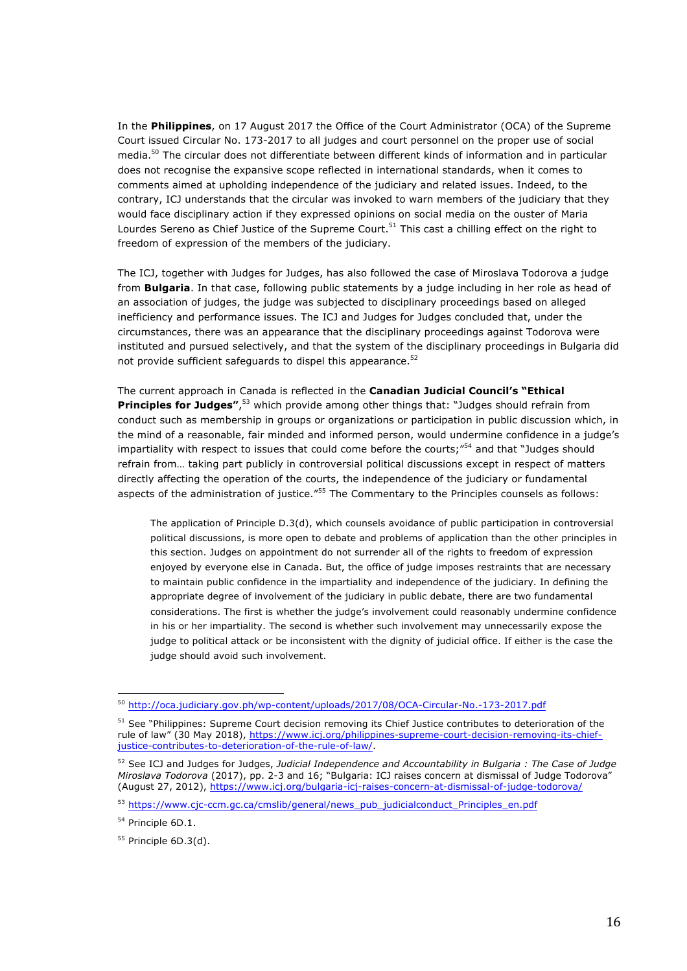In the **Philippines**, on 17 August 2017 the Office of the Court Administrator (OCA) of the Supreme Court issued Circular No. 173-2017 to all judges and court personnel on the proper use of social media.50 The circular does not differentiate between different kinds of information and in particular does not recognise the expansive scope reflected in international standards, when it comes to comments aimed at upholding independence of the judiciary and related issues. Indeed, to the contrary, ICJ understands that the circular was invoked to warn members of the judiciary that they would face disciplinary action if they expressed opinions on social media on the ouster of Maria Lourdes Sereno as Chief Justice of the Supreme Court.<sup>51</sup> This cast a chilling effect on the right to freedom of expression of the members of the judiciary.

The ICJ, together with Judges for Judges, has also followed the case of Miroslava Todorova a judge from **Bulgaria**. In that case, following public statements by a judge including in her role as head of an association of judges, the judge was subjected to disciplinary proceedings based on alleged inefficiency and performance issues. The ICJ and Judges for Judges concluded that, under the circumstances, there was an appearance that the disciplinary proceedings against Todorova were instituted and pursued selectively, and that the system of the disciplinary proceedings in Bulgaria did not provide sufficient safeguards to dispel this appearance.<sup>52</sup>

The current approach in Canada is reflected in the **Canadian Judicial Council's "Ethical Principles for Judges"**, <sup>53</sup> which provide among other things that: "Judges should refrain from conduct such as membership in groups or organizations or participation in public discussion which, in the mind of a reasonable, fair minded and informed person, would undermine confidence in a judge's impartiality with respect to issues that could come before the courts; $^{r54}$  and that "Judges should refrain from… taking part publicly in controversial political discussions except in respect of matters directly affecting the operation of the courts, the independence of the judiciary or fundamental aspects of the administration of justice."<sup>55</sup> The Commentary to the Principles counsels as follows:

The application of Principle D.3(d), which counsels avoidance of public participation in controversial political discussions, is more open to debate and problems of application than the other principles in this section. Judges on appointment do not surrender all of the rights to freedom of expression enjoyed by everyone else in Canada. But, the office of judge imposes restraints that are necessary to maintain public confidence in the impartiality and independence of the judiciary. In defining the appropriate degree of involvement of the judiciary in public debate, there are two fundamental considerations. The first is whether the judge's involvement could reasonably undermine confidence in his or her impartiality. The second is whether such involvement may unnecessarily expose the judge to political attack or be inconsistent with the dignity of judicial office. If either is the case the judge should avoid such involvement.

<sup>50</sup> http://oca.judiciary.gov.ph/wp-content/uploads/2017/08/OCA-Circular-No.-173-2017.pdf

<sup>&</sup>lt;sup>51</sup> See "Philippines: Supreme Court decision removing its Chief Justice contributes to deterioration of the rule of law" (30 May 2018), https://www.icj.org/philippines-supreme-court-decision-removing-its-chiefjustice-contributes-to-deterioration-of-the-rule-of-law/.

<sup>52</sup> See ICJ and Judges for Judges, *Judicial Independence and Accountability in Bulgaria : The Case of Judge Miroslava Todorova* (2017), pp. 2-3 and 16; "Bulgaria: ICJ raises concern at dismissal of Judge Todorova" (August 27, 2012), https://www.icj.org/bulgaria-icj-raises-concern-at-dismissal-of-judge-todorova/

<sup>53</sup> https://www.cjc-ccm.gc.ca/cmslib/general/news\_pub\_judicialconduct\_Principles\_en.pdf

<sup>&</sup>lt;sup>54</sup> Principle 6D.1.

 $55$  Principle 6D.3(d).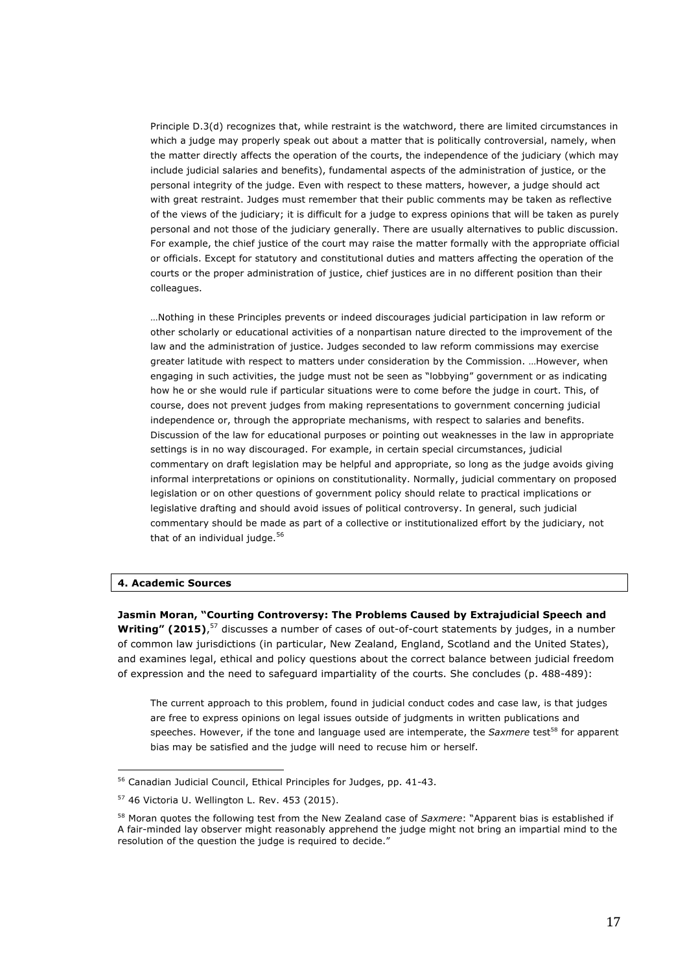Principle D.3(d) recognizes that, while restraint is the watchword, there are limited circumstances in which a judge may properly speak out about a matter that is politically controversial, namely, when the matter directly affects the operation of the courts, the independence of the judiciary (which may include judicial salaries and benefits), fundamental aspects of the administration of justice, or the personal integrity of the judge. Even with respect to these matters, however, a judge should act with great restraint. Judges must remember that their public comments may be taken as reflective of the views of the judiciary; it is difficult for a judge to express opinions that will be taken as purely personal and not those of the judiciary generally. There are usually alternatives to public discussion. For example, the chief justice of the court may raise the matter formally with the appropriate official or officials. Except for statutory and constitutional duties and matters affecting the operation of the courts or the proper administration of justice, chief justices are in no different position than their colleagues.

…Nothing in these Principles prevents or indeed discourages judicial participation in law reform or other scholarly or educational activities of a nonpartisan nature directed to the improvement of the law and the administration of justice. Judges seconded to law reform commissions may exercise greater latitude with respect to matters under consideration by the Commission. …However, when engaging in such activities, the judge must not be seen as "lobbying" government or as indicating how he or she would rule if particular situations were to come before the judge in court. This, of course, does not prevent judges from making representations to government concerning judicial independence or, through the appropriate mechanisms, with respect to salaries and benefits. Discussion of the law for educational purposes or pointing out weaknesses in the law in appropriate settings is in no way discouraged. For example, in certain special circumstances, judicial commentary on draft legislation may be helpful and appropriate, so long as the judge avoids giving informal interpretations or opinions on constitutionality. Normally, judicial commentary on proposed legislation or on other questions of government policy should relate to practical implications or legislative drafting and should avoid issues of political controversy. In general, such judicial commentary should be made as part of a collective or institutionalized effort by the judiciary, not that of an individual judge. $56$ 

## **4. Academic Sources**

**Jasmin Moran, "Courting Controversy: The Problems Caused by Extrajudicial Speech and**  Writing" (2015),<sup>57</sup> discusses a number of cases of out-of-court statements by judges, in a number of common law jurisdictions (in particular, New Zealand, England, Scotland and the United States), and examines legal, ethical and policy questions about the correct balance between judicial freedom of expression and the need to safeguard impartiality of the courts. She concludes (p. 488-489):

The current approach to this problem, found in judicial conduct codes and case law, is that judges are free to express opinions on legal issues outside of judgments in written publications and speeches. However, if the tone and language used are intemperate, the *Saxmere* test<sup>58</sup> for apparent bias may be satisfied and the judge will need to recuse him or herself.

<sup>56</sup> Canadian Judicial Council, Ethical Principles for Judges, pp. 41-43.

<sup>57</sup> 46 Victoria U. Wellington L. Rev. 453 (2015).

<sup>58</sup> Moran quotes the following test from the New Zealand case of *Saxmere*: "Apparent bias is established if A fair-minded lay observer might reasonably apprehend the judge might not bring an impartial mind to the resolution of the question the judge is required to decide."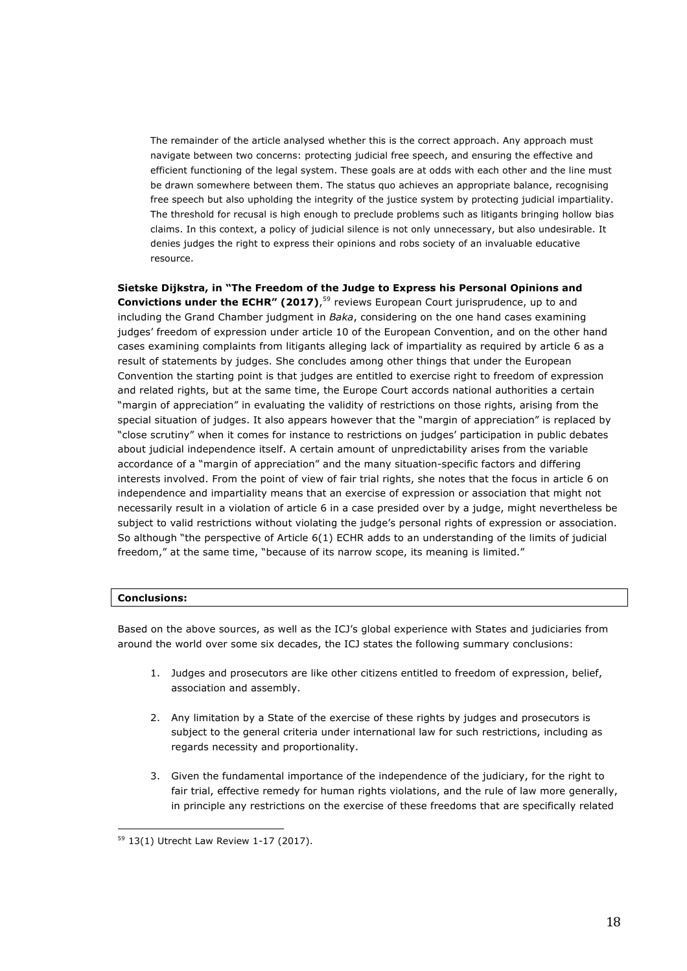The remainder of the article analysed whether this is the correct approach. Any approach must navigate between two concerns: protecting judicial free speech, and ensuring the effective and efficient functioning of the legal system. These goals are at odds with each other and the line must be drawn somewhere between them. The status quo achieves an appropriate balance, recognising free speech but also upholding the integrity of the justice system by protecting judicial impartiality. The threshold for recusal is high enough to preclude problems such as litigants bringing hollow bias claims. In this context, a policy of judicial silence is not only unnecessary, but also undesirable. It denies judges the right to express their opinions and robs society of an invaluable educative resource.

**Sietske Dijkstra, in "The Freedom of the Judge to Express his Personal Opinions and Convictions under the ECHR" (2017)**,<sup>59</sup> reviews European Court jurisprudence, up to and including the Grand Chamber judgment in *Baka*, considering on the one hand cases examining judges' freedom of expression under article 10 of the European Convention, and on the other hand cases examining complaints from litigants alleging lack of impartiality as required by article 6 as a result of statements by judges. She concludes among other things that under the European Convention the starting point is that judges are entitled to exercise right to freedom of expression and related rights, but at the same time, the Europe Court accords national authorities a certain "margin of appreciation" in evaluating the validity of restrictions on those rights, arising from the special situation of judges. It also appears however that the "margin of appreciation" is replaced by "close scrutiny" when it comes for instance to restrictions on judges' participation in public debates about judicial independence itself. A certain amount of unpredictability arises from the variable accordance of a "margin of appreciation" and the many situation-specific factors and differing interests involved. From the point of view of fair trial rights, she notes that the focus in article 6 on independence and impartiality means that an exercise of expression or association that might not necessarily result in a violation of article 6 in a case presided over by a judge, might nevertheless be subject to valid restrictions without violating the judge's personal rights of expression or association. So although "the perspective of Article 6(1) ECHR adds to an understanding of the limits of judicial freedom," at the same time, "because of its narrow scope, its meaning is limited."

# **Conclusions:**

Based on the above sources, as well as the ICJ's global experience with States and judiciaries from around the world over some six decades, the ICJ states the following summary conclusions:

- 1. Judges and prosecutors are like other citizens entitled to freedom of expression, belief, association and assembly.
- 2. Any limitation by a State of the exercise of these rights by judges and prosecutors is subject to the general criteria under international law for such restrictions, including as regards necessity and proportionality.
- 3. Given the fundamental importance of the independence of the judiciary, for the right to fair trial, effective remedy for human rights violations, and the rule of law more generally, in principle any restrictions on the exercise of these freedoms that are specifically related

<sup>59</sup> 13(1) Utrecht Law Review 1-17 (2017).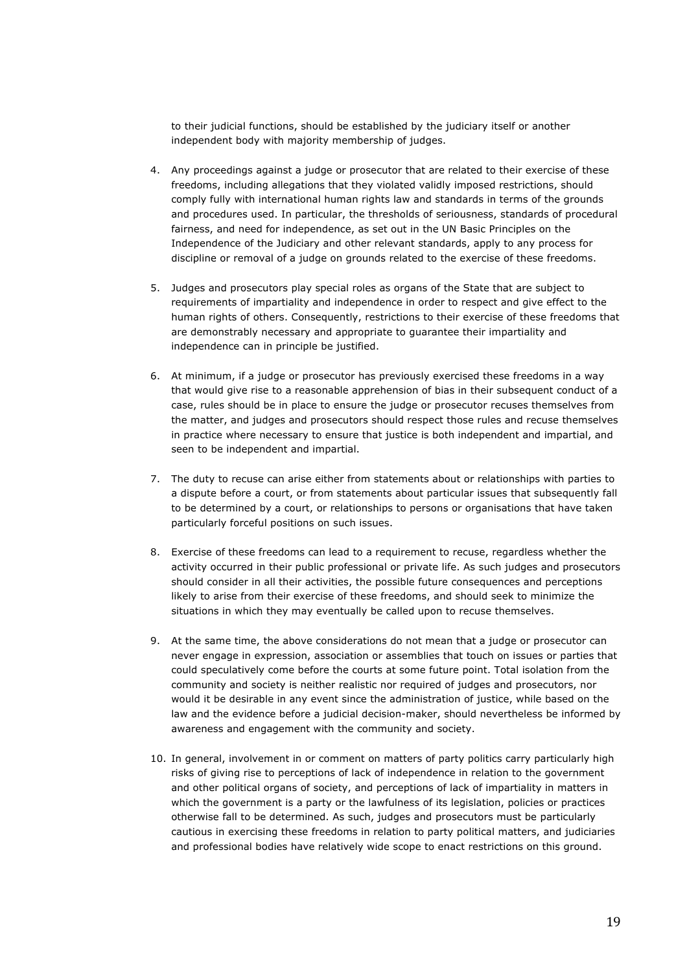to their judicial functions, should be established by the judiciary itself or another independent body with majority membership of judges.

- 4. Any proceedings against a judge or prosecutor that are related to their exercise of these freedoms, including allegations that they violated validly imposed restrictions, should comply fully with international human rights law and standards in terms of the grounds and procedures used. In particular, the thresholds of seriousness, standards of procedural fairness, and need for independence, as set out in the UN Basic Principles on the Independence of the Judiciary and other relevant standards, apply to any process for discipline or removal of a judge on grounds related to the exercise of these freedoms.
- 5. Judges and prosecutors play special roles as organs of the State that are subject to requirements of impartiality and independence in order to respect and give effect to the human rights of others. Consequently, restrictions to their exercise of these freedoms that are demonstrably necessary and appropriate to guarantee their impartiality and independence can in principle be justified.
- 6. At minimum, if a judge or prosecutor has previously exercised these freedoms in a way that would give rise to a reasonable apprehension of bias in their subsequent conduct of a case, rules should be in place to ensure the judge or prosecutor recuses themselves from the matter, and judges and prosecutors should respect those rules and recuse themselves in practice where necessary to ensure that justice is both independent and impartial, and seen to be independent and impartial.
- 7. The duty to recuse can arise either from statements about or relationships with parties to a dispute before a court, or from statements about particular issues that subsequently fall to be determined by a court, or relationships to persons or organisations that have taken particularly forceful positions on such issues.
- 8. Exercise of these freedoms can lead to a requirement to recuse, regardless whether the activity occurred in their public professional or private life. As such judges and prosecutors should consider in all their activities, the possible future consequences and perceptions likely to arise from their exercise of these freedoms, and should seek to minimize the situations in which they may eventually be called upon to recuse themselves.
- 9. At the same time, the above considerations do not mean that a judge or prosecutor can never engage in expression, association or assemblies that touch on issues or parties that could speculatively come before the courts at some future point. Total isolation from the community and society is neither realistic nor required of judges and prosecutors, nor would it be desirable in any event since the administration of justice, while based on the law and the evidence before a judicial decision-maker, should nevertheless be informed by awareness and engagement with the community and society.
- 10. In general, involvement in or comment on matters of party politics carry particularly high risks of giving rise to perceptions of lack of independence in relation to the government and other political organs of society, and perceptions of lack of impartiality in matters in which the government is a party or the lawfulness of its legislation, policies or practices otherwise fall to be determined. As such, judges and prosecutors must be particularly cautious in exercising these freedoms in relation to party political matters, and judiciaries and professional bodies have relatively wide scope to enact restrictions on this ground.